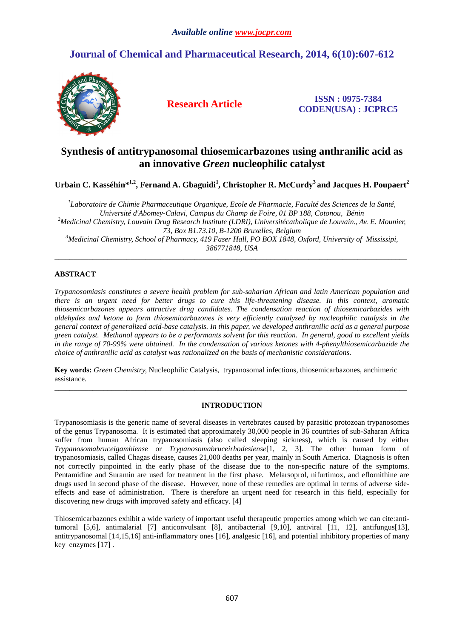# **Journal of Chemical and Pharmaceutical Research, 2014, 6(10):607-612**



**Research Article ISSN : 0975-7384 CODEN(USA) : JCPRC5**

# **Synthesis of antitrypanosomal thiosemicarbazones using anthranilic acid as an innovative** *Green* **nucleophilic catalyst**

**Urbain C. Kasséhin\*1,2, Fernand A. Gbaguidi<sup>1</sup> , Christopher R. McCurdy<sup>3</sup>and Jacques H. Poupaert<sup>2</sup>**

*1 Laboratoire de Chimie Pharmaceutique Organique, Ecole de Pharmacie, Faculté des Sciences de la Santé, Université d'Abomey-Calavi, Campus du Champ de Foire, 01 BP 188, Cotonou, Bénin <sup>2</sup>Medicinal Chemistry, Louvain Drug Research Institute (LDRI), Universitécatholique de Louvain., Av. E. Mounier, 73, Box B1.73.10, B-1200 Bruxelles, Belgium <sup>3</sup>Medicinal Chemistry, School of Pharmacy, 419 Faser Hall, PO BOX 1848, Oxford, University of Mississipi, 386771848, USA* 

\_\_\_\_\_\_\_\_\_\_\_\_\_\_\_\_\_\_\_\_\_\_\_\_\_\_\_\_\_\_\_\_\_\_\_\_\_\_\_\_\_\_\_\_\_\_\_\_\_\_\_\_\_\_\_\_\_\_\_\_\_\_\_\_\_\_\_\_\_\_\_\_\_\_\_\_\_\_\_\_\_\_\_\_\_\_\_\_\_\_\_\_\_

# **ABSTRACT**

*Trypanosomiasis constitutes a severe health problem for sub-saharian African and latin American population and there is an urgent need for better drugs to cure this life-threatening disease. In this context, aromatic thiosemicarbazones appears attractive drug candidates. The condensation reaction of thiosemicarbazides with aldehydes and ketone to form thiosemicarbazones is very efficiently catalyzed by nucleophilic catalysis in the general context of generalized acid-base catalysis. In this paper, we developed anthranilic acid as a general purpose green catalyst. Methanol appears to be a performants solvent for this reaction. In general, good to excellent yields in the range of 70-99% were obtained. In the condensation of various ketones with 4-phenylthiosemicarbazide the choice of anthranilic acid as catalyst was rationalized on the basis of mechanistic considerations.* 

**Key words:** *Green Chemistry,* Nucleophilic Catalysis, trypanosomal infections, thiosemicarbazones, anchimeric assistance.

## **INTRODUCTION**

\_\_\_\_\_\_\_\_\_\_\_\_\_\_\_\_\_\_\_\_\_\_\_\_\_\_\_\_\_\_\_\_\_\_\_\_\_\_\_\_\_\_\_\_\_\_\_\_\_\_\_\_\_\_\_\_\_\_\_\_\_\_\_\_\_\_\_\_\_\_\_\_\_\_\_\_\_\_\_\_\_\_\_\_\_\_\_\_\_\_\_\_\_

Trypanosomiasis is the generic name of several diseases in vertebrates caused by parasitic protozoan trypanosomes of the genus Trypanosoma. It is estimated that approximately 30,000 people in 36 countries of sub-Saharan Africa suffer from human African trypanosomiasis (also called sleeping sickness), which is caused by either *Trypanosomabruceigambiense* or *Trypanosomabruceirhodesiense*[1, 2, 3]. The other human form of trypanosomiasis, called Chagas disease, causes 21,000 deaths per year, mainly in South America. Diagnosis is often not correctly pinpointed in the early phase of the disease due to the non-specific nature of the symptoms. Pentamidine and Suramin are used for treatment in the first phase. Melarsoprol, nifurtimox, and eflornithine are drugs used in second phase of the disease. However, none of these remedies are optimal in terms of adverse sideeffects and ease of administration. There is therefore an urgent need for research in this field, especially for discovering new drugs with improved safety and efficacy. [4]

Thiosemicarbazones exhibit a wide variety of important useful therapeutic properties among which we can cite:antitumoral [5,6], antimalarial [7] anticonvulsant [8], antibacterial [9,10], antiviral [11, 12], antifungus[13], antitrypanosomal [14,15,16] anti-inflammatory ones [16], analgesic [16], and potential inhibitory properties of many key enzymes [17] .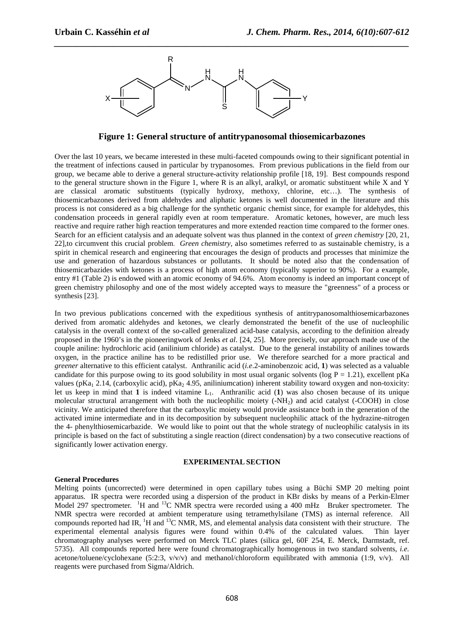

**Figure 1: General structure of antitrypanosomal thiosemicarbazones**

*\_\_\_\_\_\_\_\_\_\_\_\_\_\_\_\_\_\_\_\_\_\_\_\_\_\_\_\_\_\_\_\_\_\_\_\_\_\_\_\_\_\_\_\_\_\_\_\_\_\_\_\_\_\_\_\_\_\_\_\_\_\_\_\_\_\_\_\_\_\_\_\_\_\_\_\_\_\_*

Over the last 10 years, we became interested in these multi-faceted compounds owing to their significant potential in the treatment of infections caused in particular by trypanosomes. From previous publications in the field from our group, we became able to derive a general structure-activity relationship profile [18, 19]. Best compounds respond to the general structure shown in the Figure 1, where R is an alkyl, aralkyl, or aromatic substituent while X and Y are classical aromatic substituents (typically hydroxy, methoxy, chlorine, etc…). The synthesis of thiosemicarbazones derived from aldehydes and aliphatic ketones is well documented in the literature and this process is not considered as a big challenge for the synthetic organic chemist since, for example for aldehydes, this condensation proceeds in general rapidly even at room temperature. Aromatic ketones, however, are much less reactive and require rather high reaction temperatures and more extended reaction time compared to the former ones. Search for an efficient catalysis and an adequate solvent was thus planned in the context of *green chemistry* [20, 21, 22],to circumvent this crucial problem. *Green chemistry,* also sometimes referred to as sustainable chemistry, is a spirit in chemical research and engineering that encourages the design of products and processes that minimize the use and generation of hazardous substances or pollutants. It should be noted also that the condensation of thiosemicarbazides with ketones is a process of high atom economy (typically superior to 90%). For a example, entry #1 (Table 2) is endowed with an atomic economy of 94.6%. Atom economy is indeed an important concept of green chemistry philosophy and one of the most widely accepted ways to measure the "greenness" of a process or synthesis [23].

In two previous publications concerned with the expeditious synthesis of antitrypanosomalthiosemicarbazones derived from aromatic aldehydes and ketones, we clearly demonstrated the benefit of the use of nucleophilic catalysis in the overall context of the so-called generalized acid-base catalysis, according to the definition already proposed in the 1960's in the pioneeringwork of Jenks *et al*. [24, 25]. More precisely, our approach made use of the couple aniline: hydrochloric acid (anilinium chloride) as catalyst. Due to the general instability of anilines towards oxygen, in the practice aniline has to be redistilled prior use. We therefore searched for a more practical and *greener* alternative to this efficient catalyst. Anthranilic acid (*i.e*.2-aminobenzoic acid, **1**) was selected as a valuable candidate for this purpose owing to its good solubility in most usual organic solvents ( $log P = 1.21$ ), excellent pKa values (pKa<sub>1</sub> 2.14, (carboxylic acid), pKa<sub>2</sub> 4.95, aniliniumcation) inherent stability toward oxygen and non-toxicity: let us keep in mind that **1** is indeed vitamine  $L_1$ . Anthranilic acid (**1**) was also chosen because of its unique molecular structural arrangement with both the nucleophilic moiety  $(-NH<sub>2</sub>)$  and acid catalyst  $(-COOH)$  in close vicinity. We anticipated therefore that the carboxylic moiety would provide assistance both in the generation of the activated imine intermediate and in its decomposition by subsequent nucleophilic attack of the hydrazine-nitrogen the 4- phenylthiosemicarbazide. We would like to point out that the whole strategy of nucleophilic catalysis in its principle is based on the fact of substituting a single reaction (direct condensation) by a two consecutive reactions of significantly lower activation energy.

#### **EXPERIMENTAL SECTION**

#### **General Procedures**

Melting points (uncorrected) were determined in open capillary tubes using a Büchi SMP 20 melting point apparatus. IR spectra were recorded using a dispersion of the product in KBr disks by means of a Perkin-Elmer Model 297 spectrometer. <sup>1</sup>H and <sup>13</sup>C NMR spectra were recorded using a 400 mHz Bruker spectrometer. The NMR spectra were recorded at ambient temperature using tetramethylsilane (TMS) as internal reference. All compounds reported had IR, <sup>1</sup>H and <sup>13</sup>C NMR, MS, and elemental analysis data consistent with their structure. The experimental elemental analysis figures were found within 0.4% of the calculated values. Thin layer chromatography analyses were performed on Merck TLC plates (silica gel, 60F 254, E. Merck, Darmstadt, ref. 5735). All compounds reported here were found chromatographically homogenous in two standard solvents, *i.e.* acetone/toluene/cyclohexane (5:2:3,  $v/v/v$ ) and methanol/chloroform equilibrated with ammonia (1:9,  $v/v$ ). All reagents were purchased from Sigma/Aldrich.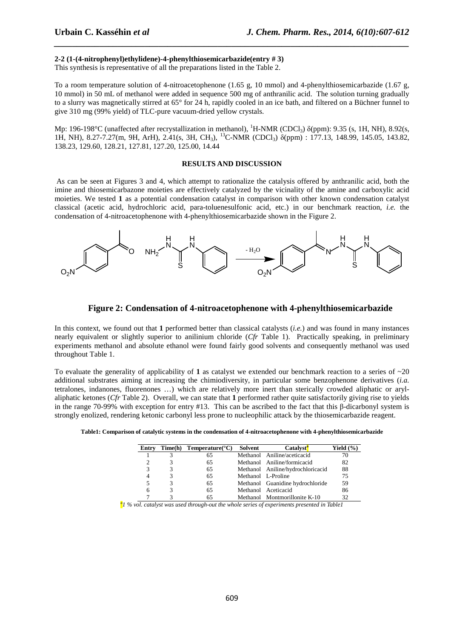## **2-2 (1-(4-nitrophenyl)ethylidene)-4-phenylthiosemicarbazide(entry # 3)**

This synthesis is representative of all the preparations listed in the Table 2.

To a room temperature solution of 4-nitroacetophenone (1.65 g, 10 mmol) and 4-phenylthiosemicarbazide (1.67 g, 10 mmol) in 50 mL of methanol were added in sequence 500 mg of anthranilic acid. The solution turning gradually to a slurry was magnetically stirred at 65° for 24 h, rapidly cooled in an ice bath, and filtered on a Büchner funnel to give 310 mg (99% yield) of TLC-pure vacuum-dried yellow crystals.

*\_\_\_\_\_\_\_\_\_\_\_\_\_\_\_\_\_\_\_\_\_\_\_\_\_\_\_\_\_\_\_\_\_\_\_\_\_\_\_\_\_\_\_\_\_\_\_\_\_\_\_\_\_\_\_\_\_\_\_\_\_\_\_\_\_\_\_\_\_\_\_\_\_\_\_\_\_\_*

Mp: 196-198°C (unaffected after recrystallization in methanol), <sup>1</sup>H-NMR (CDCl<sub>3</sub>)  $\delta$ (ppm): 9.35 (s, 1H, NH), 8.92(s, 1H, NH), 8.27-7.27(m, 9H, ArH), 2.41(s, 3H, CH3), <sup>13</sup>C-NMR (CDCl3) δ(ppm) : 177.13, 148.99, 145.05, 143.82, 138.23, 129.60, 128.21, 127.81, 127.20, 125.00, 14.44

#### **RESULTS AND DISCUSSION**

 As can be seen at Figures 3 and 4, which attempt to rationalize the catalysis offered by anthranilic acid, both the imine and thiosemicarbazone moieties are effectively catalyzed by the vicinality of the amine and carboxylic acid moieties. We tested **1** as a potential condensation catalyst in comparison with other known condensation catalyst classical (acetic acid, hydrochloric acid, para-toluenesulfonic acid, etc.) in our benchmark reaction, *i.e.* the condensation of 4-nitroacetophenone with 4-phenylthiosemicarbazide shown in the Figure 2.



#### **Figure 2: Condensation of 4-nitroacetophenone with 4-phenylthiosemicarbazide**

In this context, we found out that **1** performed better than classical catalysts (*i.e.*) and was found in many instances nearly equivalent or slightly superior to anilinium chloride (*Cfr* Table 1). Practically speaking, in preliminary experiments methanol and absolute ethanol were found fairly good solvents and consequently methanol was used throughout Table 1.

To evaluate the generality of applicability of **1** as catalyst we extended our benchmark reaction to a series of ~20 additional substrates aiming at increasing the chimiodiversity, in particular some benzophenone derivatives (*i.a.*  tetralones, indanones, fluorenones …) which are relatively more inert than sterically crowded aliphatic or arylaliphatic ketones (*Cfr* Table 2). Overall, we can state that **1** performed rather quite satisfactorily giving rise to yields in the range 70-99% with exception for entry #13. This can be ascribed to the fact that this β-dicarbonyl system is strongly enolized, rendering ketonic carbonyl less prone to nucleophilic attack by the thiosemicarbazide reagent.

| Entry | $Time(h)$ Temperature( $°C$ ) | Solvent | <b>Catalyst<sup>a</sup></b>       | Yield $(\% )$ |
|-------|-------------------------------|---------|-----------------------------------|---------------|
|       |                               |         | Methanol Aniline/aceticacid       |               |
|       |                               |         | Methanol Aniline/formicacid       | 82            |
|       |                               |         | Methanol Aniline/hydrochloricacid | 88            |
|       |                               |         | Methanol L-Proline                |               |

5 3 65 Methanol Guanidine hydrochloride 59<br>6 3 65 Methanol Aceticacid 86

Methanol Aceticacid 65 Methanol Montmorillonite K-10 32

**Table1: Comparison of catalytic systems in the condensation of 4-nitroacetophenone with 4-phenylthiosemicarbazide** 

*a 1 % vol. catalyst was used through-out the whole series of experiments presented in Table1*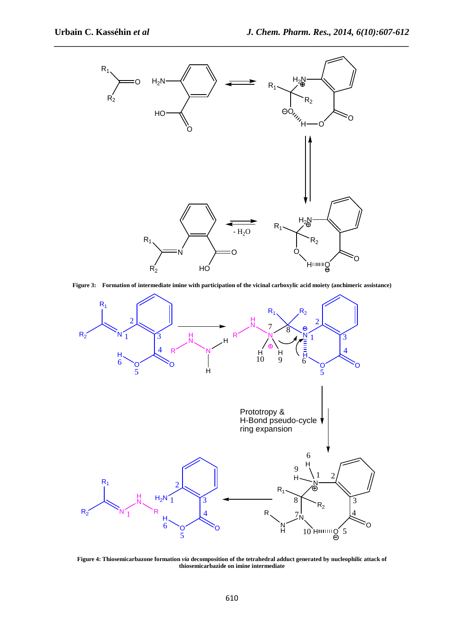

**Figure 3: Formation of intermediate imine with participation of the vicinal carboxylic acid moiety (anchimeric assistance)** 



**Figure 4: Thiosemicarbazone formation** *via* **decomposition of the tetrahedral adduct generated by nucleophilic attack of thiosemicarbazide on imine intermediate**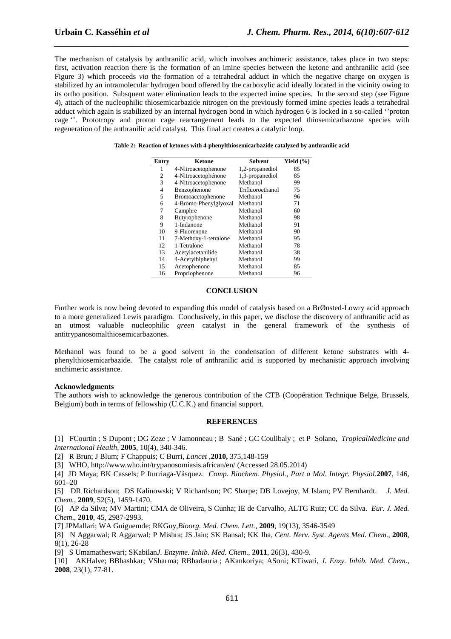The mechanism of catalysis by anthranilic acid, which involves anchimeric assistance, takes place in two steps: first, activation reaction there is the formation of an imine species between the ketone and anthranilic acid (see Figure 3) which proceeds *via* the formation of a tetrahedral adduct in which the negative charge on oxygen is stabilized by an intramolecular hydrogen bond offered by the carboxylic acid ideally located in the vicinity owing to its ortho position. Subsquent water elimination leads to the expected imine species. In the second step (see Figure 4), attach of the nucleophilic thiosemicarbazide nitrogen on the previously formed imine species leads a tetrahedral adduct which again is stabilized by an internal hydrogen bond in which hydrogen 6 is locked in a so-called ''proton cage ''. Prototropy and proton cage rearrangement leads to the expected thiosemicarbazone species with regeneration of the anthranilic acid catalyst. This final act creates a catalytic loop.

*\_\_\_\_\_\_\_\_\_\_\_\_\_\_\_\_\_\_\_\_\_\_\_\_\_\_\_\_\_\_\_\_\_\_\_\_\_\_\_\_\_\_\_\_\_\_\_\_\_\_\_\_\_\_\_\_\_\_\_\_\_\_\_\_\_\_\_\_\_\_\_\_\_\_\_\_\_\_*

| Entry | Ketone                | Solvent          | Yield $(\% )$ |
|-------|-----------------------|------------------|---------------|
|       | 4-Nitroacetophenone   | 1,2-propanediol  | 85            |
| 2     | 4-Nitroacetophénone   | 1,3-propanediol  | 85            |
| 3     | 4-Nitroacetophenone   | Methanol         | 99            |
| 4     | Benzophenone          | Trifluoroethanol | 75            |
| 5     | Bromoacetophenone     | Methanol         | 96            |
| 6     | 4-Bromo-Phenylglyoxal | Methanol         | 71            |
| 7     | Camphre               | Methanol         | 60            |
| 8     | Butyrophenone         | Methanol         | 98            |
| 9     | 1-Indanone            | Methanol         | 91            |
| 10    | 9-Fluorenone          | Methanol         | 90            |
| 11    | 7-Methoxy-1-tetralone | Methanol         | 95            |
| 12    | 1-Tetralone           | Methanol         | 78            |
| 13    | Acetylacetanilide     | Methanol         | 38            |
| 14    | 4-Acetylbiphenyl      | Methanol         | 99            |
| 15    | Acetophenone          | Methanol         | 85            |
| 16    | Propriophenone        | Methanol         | 96            |

|  |  |  |  | Table 2: Reaction of ketones with 4-phenylthiosemicarbazide catalyzed by anthranilic acid |  |
|--|--|--|--|-------------------------------------------------------------------------------------------|--|
|  |  |  |  |                                                                                           |  |

### **CONCLUSION**

Further work is now being devoted to expanding this model of catalysis based on a BrØnsted-Lowry acid approach to a more generalized Lewis paradigm. Conclusively, in this paper, we disclose the discovery of anthranilic acid as an utmost valuable nucleophilic *green* catalyst in the general framework of the synthesis of antitrypanosomalthiosemicarbazones.

Methanol was found to be a good solvent in the condensation of different ketone substrates with 4 phenylthiosemicarbazide. The catalyst role of anthranilic acid is supported by mechanistic approach involving anchimeric assistance.

#### **Acknowledgments**

The authors wish to acknowledge the generous contribution of the CTB (Coopération Technique Belge, Brussels, Belgium) both in terms of fellowship (U.C.K.) and financial support.

### **REFERENCES**

[1] FCourtin ; S Dupont ; DG Zeze ; V Jamonneau ; B Sané ; GC Coulibaly ; et P Solano, *TropicalMedicine and International Health*, **2005**, 10(4), 340-346.

[2] R Brun; J Blum; F Chappuis; C Burri, *Lancet* ,**2010,** 375,148-159

[3] WHO, http://www.who.int/trypanosomiasis.african/en/ (Accessed 28.05.2014)

[4] JD Maya; BK Cassels; P Iturriaga-Vásquez. *Comp. Biochem. Physiol., Part a Mol. Integr. Physiol.***2007**, 146, 601–20

[5] DR Richardson; DS Kalinowski; V Richardson; PC Sharpe; DB Lovejoy, M Islam; PV Bernhardt. *J. Med. Chem.*, **2009**, 52(5), 1459-1470.

[6] AP da Silva; MV Martini; CMA de Oliveira, S Cunha; IE de Carvalho, ALTG Ruiz; CC da Silva. *Eur. J. Med. Chem*., **2010**, 45, 2987-2993.

[7] JPMallari; WA Guiguemde; RKGuy,*Bioorg. Med. Chem. Lett.*, **2009**, 19(13), 3546-3549

[8] N Aggarwal; R Aggarwal; P Mishra; JS Jain; SK Bansal; KK Jha, *Cent. Nerv. Syst. Agents Med*. *Chem*., **2008**, 8(1), 26-28

[9] S Umamatheswari; SKabilan*J. Enzyme. Inhib. Med. Chem*., **2011**, 26(3), 430-9.

[10] AKHalve; BBhashkar; VSharma; RBhadauria ; AKankoriya; ASoni; KTiwari, *J. Enzy. Inhib. Med. Chem*., **2008**, 23(1), 77-81.